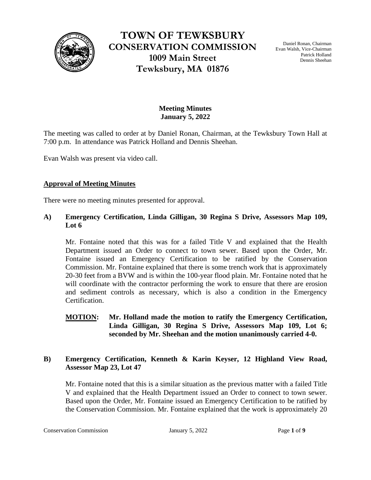

**TOWN OF TEWKSBURY CONSERVATION COMMISSION 1009 Main Street Tewksbury, MA 01876**

Daniel Ronan, Chairman Evan Walsh, Vice-Chairman Patrick Holland Dennis Sheehan

# **Meeting Minutes January 5, 2022**

The meeting was called to order at by Daniel Ronan, Chairman, at the Tewksbury Town Hall at 7:00 p.m. In attendance was Patrick Holland and Dennis Sheehan.

Evan Walsh was present via video call.

### **Approval of Meeting Minutes**

There were no meeting minutes presented for approval.

## **A) Emergency Certification, Linda Gilligan, 30 Regina S Drive, Assessors Map 109, Lot 6**

Mr. Fontaine noted that this was for a failed Title V and explained that the Health Department issued an Order to connect to town sewer. Based upon the Order, Mr. Fontaine issued an Emergency Certification to be ratified by the Conservation Commission. Mr. Fontaine explained that there is some trench work that is approximately 20-30 feet from a BVW and is within the 100-year flood plain. Mr. Fontaine noted that he will coordinate with the contractor performing the work to ensure that there are erosion and sediment controls as necessary, which is also a condition in the Emergency Certification.

## **MOTION: Mr. Holland made the motion to ratify the Emergency Certification, Linda Gilligan, 30 Regina S Drive, Assessors Map 109, Lot 6; seconded by Mr. Sheehan and the motion unanimously carried 4-0.**

# **B) Emergency Certification, Kenneth & Karin Keyser, 12 Highland View Road, Assessor Map 23, Lot 47**

Mr. Fontaine noted that this is a similar situation as the previous matter with a failed Title V and explained that the Health Department issued an Order to connect to town sewer. Based upon the Order, Mr. Fontaine issued an Emergency Certification to be ratified by the Conservation Commission. Mr. Fontaine explained that the work is approximately 20

Conservation Commission **1** *January 5, 2022* Page 1 of 9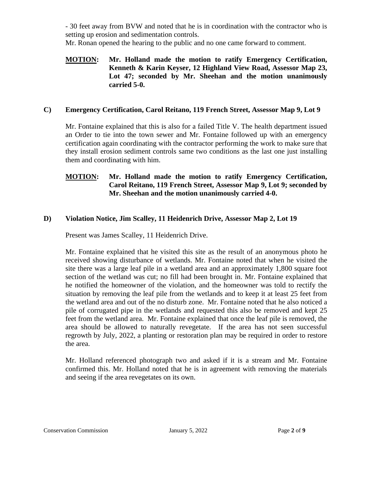- 30 feet away from BVW and noted that he is in coordination with the contractor who is setting up erosion and sedimentation controls.

Mr. Ronan opened the hearing to the public and no one came forward to comment.

## **MOTION: Mr. Holland made the motion to ratify Emergency Certification, Kenneth & Karin Keyser, 12 Highland View Road, Assessor Map 23, Lot 47; seconded by Mr. Sheehan and the motion unanimously carried 5-0.**

# **C) Emergency Certification, Carol Reitano, 119 French Street, Assessor Map 9, Lot 9**

Mr. Fontaine explained that this is also for a failed Title V. The health department issued an Order to tie into the town sewer and Mr. Fontaine followed up with an emergency certification again coordinating with the contractor performing the work to make sure that they install erosion sediment controls same two conditions as the last one just installing them and coordinating with him.

# **MOTION: Mr. Holland made the motion to ratify Emergency Certification, Carol Reitano, 119 French Street, Assessor Map 9, Lot 9; seconded by Mr. Sheehan and the motion unanimously carried 4-0.**

# **D) Violation Notice, Jim Scalley, 11 Heidenrich Drive, Assessor Map 2, Lot 19**

Present was James Scalley, 11 Heidenrich Drive.

Mr. Fontaine explained that he visited this site as the result of an anonymous photo he received showing disturbance of wetlands. Mr. Fontaine noted that when he visited the site there was a large leaf pile in a wetland area and an approximately 1,800 square foot section of the wetland was cut; no fill had been brought in. Mr. Fontaine explained that he notified the homeowner of the violation, and the homeowner was told to rectify the situation by removing the leaf pile from the wetlands and to keep it at least 25 feet from the wetland area and out of the no disturb zone. Mr. Fontaine noted that he also noticed a pile of corrugated pipe in the wetlands and requested this also be removed and kept 25 feet from the wetland area. Mr. Fontaine explained that once the leaf pile is removed, the area should be allowed to naturally revegetate. If the area has not seen successful regrowth by July, 2022, a planting or restoration plan may be required in order to restore the area.

Mr. Holland referenced photograph two and asked if it is a stream and Mr. Fontaine confirmed this. Mr. Holland noted that he is in agreement with removing the materials and seeing if the area revegetates on its own.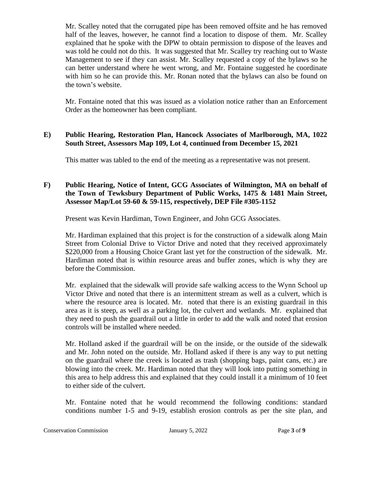Mr. Scalley noted that the corrugated pipe has been removed offsite and he has removed half of the leaves, however, he cannot find a location to dispose of them. Mr. Scalley explained that he spoke with the DPW to obtain permission to dispose of the leaves and was told he could not do this. It was suggested that Mr. Scalley try reaching out to Waste Management to see if they can assist. Mr. Scalley requested a copy of the bylaws so he can better understand where he went wrong, and Mr. Fontaine suggested he coordinate with him so he can provide this. Mr. Ronan noted that the bylaws can also be found on the town's website.

Mr. Fontaine noted that this was issued as a violation notice rather than an Enforcement Order as the homeowner has been compliant.

## **E) Public Hearing, Restoration Plan, Hancock Associates of Marlborough, MA, 1022 South Street, Assessors Map 109, Lot 4, continued from December 15, 2021**

This matter was tabled to the end of the meeting as a representative was not present.

# **F) Public Hearing, Notice of Intent, GCG Associates of Wilmington, MA on behalf of the Town of Tewksbury Department of Public Works, 1475 & 1481 Main Street, Assessor Map/Lot 59-60 & 59-115, respectively, DEP File #305-1152**

Present was Kevin Hardiman, Town Engineer, and John GCG Associates.

Mr. Hardiman explained that this project is for the construction of a sidewalk along Main Street from Colonial Drive to Victor Drive and noted that they received approximately \$220,000 from a Housing Choice Grant last yet for the construction of the sidewalk. Mr. Hardiman noted that is within resource areas and buffer zones, which is why they are before the Commission.

Mr. explained that the sidewalk will provide safe walking access to the Wynn School up Victor Drive and noted that there is an intermittent stream as well as a culvert, which is where the resource area is located. Mr. noted that there is an existing guardrail in this area as it is steep, as well as a parking lot, the culvert and wetlands. Mr. explained that they need to push the guardrail out a little in order to add the walk and noted that erosion controls will be installed where needed.

Mr. Holland asked if the guardrail will be on the inside, or the outside of the sidewalk and Mr. John noted on the outside. Mr. Holland asked if there is any way to put netting on the guardrail where the creek is located as trash (shopping bags, paint cans, etc.) are blowing into the creek. Mr. Hardiman noted that they will look into putting something in this area to help address this and explained that they could install it a minimum of 10 feet to either side of the culvert.

Mr. Fontaine noted that he would recommend the following conditions: standard conditions number 1-5 and 9-19, establish erosion controls as per the site plan, and

Conservation Commission January 5, 2022 Page 3 of 9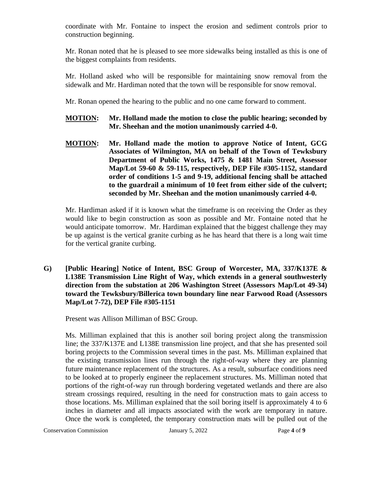coordinate with Mr. Fontaine to inspect the erosion and sediment controls prior to construction beginning.

Mr. Ronan noted that he is pleased to see more sidewalks being installed as this is one of the biggest complaints from residents.

Mr. Holland asked who will be responsible for maintaining snow removal from the sidewalk and Mr. Hardiman noted that the town will be responsible for snow removal.

Mr. Ronan opened the hearing to the public and no one came forward to comment.

- **MOTION: Mr. Holland made the motion to close the public hearing; seconded by Mr. Sheehan and the motion unanimously carried 4-0.**
- **MOTION: Mr. Holland made the motion to approve Notice of Intent, GCG Associates of Wilmington, MA on behalf of the Town of Tewksbury Department of Public Works, 1475 & 1481 Main Street, Assessor Map/Lot 59-60 & 59-115, respectively, DEP File #305-1152, standard order of conditions 1-5 and 9-19, additional fencing shall be attached to the guardrail a minimum of 10 feet from either side of the culvert; seconded by Mr. Sheehan and the motion unanimously carried 4-0.**

Mr. Hardiman asked if it is known what the timeframe is on receiving the Order as they would like to begin construction as soon as possible and Mr. Fontaine noted that he would anticipate tomorrow. Mr. Hardiman explained that the biggest challenge they may be up against is the vertical granite curbing as he has heard that there is a long wait time for the vertical granite curbing.

**G) [Public Hearing] Notice of Intent, BSC Group of Worcester, MA, 337/K137E & L138E Transmission Line Right of Way, which extends in a general southwesterly direction from the substation at 206 Washington Street (Assessors Map/Lot 49-34) toward the Tewksbury/Billerica town boundary line near Farwood Road (Assessors Map/Lot 7-72), DEP File #305-1151**

Present was Allison Milliman of BSC Group.

Ms. Milliman explained that this is another soil boring project along the transmission line; the 337/K137E and L138E transmission line project, and that she has presented soil boring projects to the Commission several times in the past. Ms. Milliman explained that the existing transmission lines run through the right-of-way where they are planning future maintenance replacement of the structures. As a result, subsurface conditions need to be looked at to properly engineer the replacement structures. Ms. Milliman noted that portions of the right-of-way run through bordering vegetated wetlands and there are also stream crossings required, resulting in the need for construction mats to gain access to those locations. Ms. Milliman explained that the soil boring itself is approximately 4 to 6 inches in diameter and all impacts associated with the work are temporary in nature. Once the work is completed, the temporary construction mats will be pulled out of the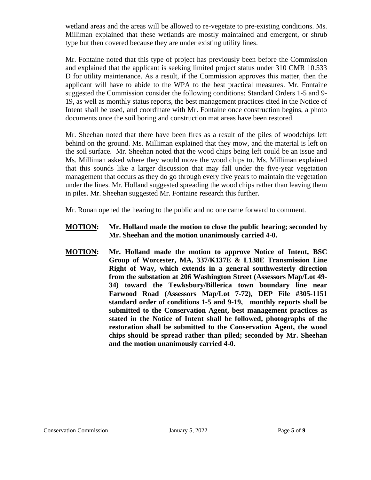wetland areas and the areas will be allowed to re-vegetate to pre-existing conditions. Ms. Milliman explained that these wetlands are mostly maintained and emergent, or shrub type but then covered because they are under existing utility lines.

Mr. Fontaine noted that this type of project has previously been before the Commission and explained that the applicant is seeking limited project status under 310 CMR 10.533 D for utility maintenance. As a result, if the Commission approves this matter, then the applicant will have to abide to the WPA to the best practical measures. Mr. Fontaine suggested the Commission consider the following conditions: Standard Orders 1-5 and 9- 19, as well as monthly status reports, the best management practices cited in the Notice of Intent shall be used, and coordinate with Mr. Fontaine once construction begins, a photo documents once the soil boring and construction mat areas have been restored.

Mr. Sheehan noted that there have been fires as a result of the piles of woodchips left behind on the ground. Ms. Milliman explained that they mow, and the material is left on the soil surface. Mr. Sheehan noted that the wood chips being left could be an issue and Ms. Milliman asked where they would move the wood chips to. Ms. Milliman explained that this sounds like a larger discussion that may fall under the five-year vegetation management that occurs as they do go through every five years to maintain the vegetation under the lines. Mr. Holland suggested spreading the wood chips rather than leaving them in piles. Mr. Sheehan suggested Mr. Fontaine research this further.

Mr. Ronan opened the hearing to the public and no one came forward to comment.

- **MOTION: Mr. Holland made the motion to close the public hearing; seconded by Mr. Sheehan and the motion unanimously carried 4-0.**
- **MOTION: Mr. Holland made the motion to approve Notice of Intent, BSC Group of Worcester, MA, 337/K137E & L138E Transmission Line Right of Way, which extends in a general southwesterly direction from the substation at 206 Washington Street (Assessors Map/Lot 49- 34) toward the Tewksbury/Billerica town boundary line near Farwood Road (Assessors Map/Lot 7-72), DEP File #305-1151 standard order of conditions 1-5 and 9-19, monthly reports shall be submitted to the Conservation Agent, best management practices as stated in the Notice of Intent shall be followed, photographs of the restoration shall be submitted to the Conservation Agent, the wood chips should be spread rather than piled; seconded by Mr. Sheehan and the motion unanimously carried 4-0.**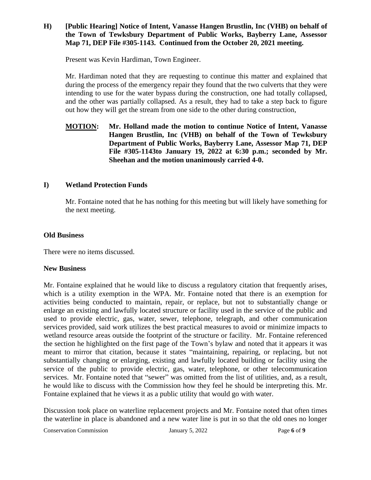## **H) [Public Hearing] Notice of Intent, Vanasse Hangen Brustlin, Inc (VHB) on behalf of the Town of Tewksbury Department of Public Works, Bayberry Lane, Assessor Map 71, DEP File #305-1143. Continued from the October 20, 2021 meeting.**

Present was Kevin Hardiman, Town Engineer.

Mr. Hardiman noted that they are requesting to continue this matter and explained that during the process of the emergency repair they found that the two culverts that they were intending to use for the water bypass during the construction, one had totally collapsed, and the other was partially collapsed. As a result, they had to take a step back to figure out how they will get the stream from one side to the other during construction,

## **MOTION: Mr. Holland made the motion to continue Notice of Intent, Vanasse Hangen Brustlin, Inc (VHB) on behalf of the Town of Tewksbury Department of Public Works, Bayberry Lane, Assessor Map 71, DEP File #305-1143to January 19, 2022 at 6:30 p.m.; seconded by Mr. Sheehan and the motion unanimously carried 4-0.**

## **I) Wetland Protection Funds**

Mr. Fontaine noted that he has nothing for this meeting but will likely have something for the next meeting.

### **Old Business**

There were no items discussed.

## **New Business**

Mr. Fontaine explained that he would like to discuss a regulatory citation that frequently arises, which is a utility exemption in the WPA. Mr. Fontaine noted that there is an exemption for activities being conducted to maintain, repair, or replace, but not to substantially change or enlarge an existing and lawfully located structure or facility used in the service of the public and used to provide electric, gas, water, sewer, telephone, telegraph, and other communication services provided, said work utilizes the best practical measures to avoid or minimize impacts to wetland resource areas outside the footprint of the structure or facility. Mr. Fontaine referenced the section he highlighted on the first page of the Town's bylaw and noted that it appears it was meant to mirror that citation, because it states "maintaining, repairing, or replacing, but not substantially changing or enlarging, existing and lawfully located building or facility using the service of the public to provide electric, gas, water, telephone, or other telecommunication services. Mr. Fontaine noted that "sewer" was omitted from the list of utilities, and, as a result, he would like to discuss with the Commission how they feel he should be interpreting this. Mr. Fontaine explained that he views it as a public utility that would go with water.

Discussion took place on waterline replacement projects and Mr. Fontaine noted that often times the waterline in place is abandoned and a new water line is put in so that the old ones no longer

Conservation Commission January 5, 2022 Page 6 of 9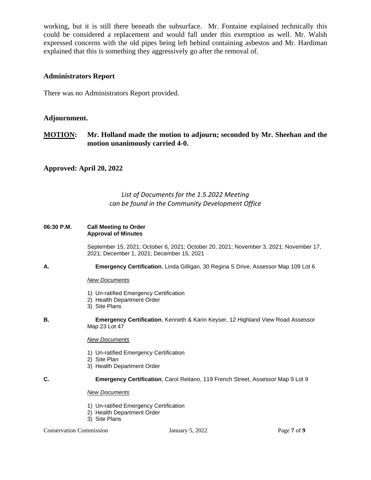working, but it is still there beneath the subsurface. Mr. Fontaine explained technically this could be considered a replacement and would fall under this exemption as well. Mr. Walsh expressed concerns with the old pipes being left behind containing asbestos and Mr. Hardiman explained that this is something they aggressively go after the removal of.

#### **Administrators Report**

There was no Administrators Report provided.

#### **Adjournment.**

**MOTION: Mr. Holland made the motion to adjourn; seconded by Mr. Sheehan and the motion unanimously carried 4-0.**

#### **Approved: April 20, 2022**

## *List of Documents for the 1.5.2022 Meeting can be found in the Community Development Office*

#### **06:30 P.M. Call Meeting to Order Approval of Minutes**

September 15, 2021; October 6, 2021; October 20, 2021; November 3, 2021; November 17, 2021; December 1, 2021; December 15, 2021

**A. Emergency Certification**, Linda Gilligan, 30 Regina S Drive, Assessor Map 109 Lot 6

#### *New Documents*

- 1) Un-ratified Emergency Certification
- 2) Health Department Order
- 3) Site Plans
- **B. Emergency Certification**, Kenneth & Karin Keyser, 12 Highland View Road Assessor Map 23 Lot 47

#### *New Documents*

- 1) Un-ratified Emergency Certification
- 2) Site Plan
- 3) Health Department Order
- **C. Emergency Certification**, Carol Reitano, 119 French Street, Assessor Map 9 Lot 9

#### *New Documents*

- 1) Un-ratified Emergency Certification
- 2) Health Department Order
- 3) Site Plans

#### Conservation Commission January 5, 2022 Page 7 of 9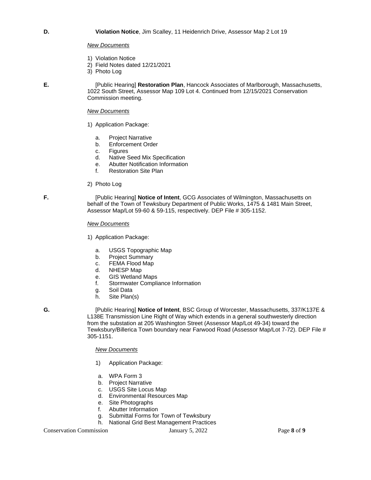#### *New Documents*

- 1) Violation Notice
- 2) Field Notes dated 12/21/2021
- 3) Photo Log

**E.** [Public Hearing] **Restoration Plan**, Hancock Associates of Marlborough, Massachusetts, 1022 South Street, Assessor Map 109 Lot 4. Continued from 12/15/2021 Conservation Commission meeting.

#### *New Documents*

- 1) Application Package:
	- a. Project Narrative
	- b. Enforcement Order
	- c. Figures
	- d. Native Seed Mix Specification
	- e. Abutter Notification Information
	- f. Restoration Site Plan
- 2) Photo Log

**F.** [Public Hearing] **Notice of Intent**, GCG Associates of Wilmington, Massachusetts on behalf of the Town of Tewksbury Department of Public Works, 1475 & 1481 Main Street, Assessor Map/Lot 59-60 & 59-115, respectively. DEP File # 305-1152.

*New Documents*

- 1) Application Package:
	- a. USGS Topographic Map
	- b. Project Summary
	- c. FEMA Flood Map
	- d. NHESP Map
	- e. GIS Wetland Maps
	- f. Stormwater Compliance Information
	- g. Soil Data
	- h. Site Plan(s)
- 

**G.** [Public Hearing] **Notice of Intent**, BSC Group of Worcester, Massachusetts, 337/K137E & L138E Transmission Line Right of Way which extends in a general southwesterly direction from the substation at 205 Washington Street (Assessor Map/Lot 49-34) toward the Tewksbury/Billerica Town boundary near Farwood Road (Assessor Map/Lot 7-72). DEP File # 305-1151.

*New Documents*

- 1) Application Package:
- a. WPA Form 3
- b. Project Narrative
- c. USGS Site Locus Map
- d. Environmental Resources Map
- e. Site Photographs<br>f. Abutter Informatio
- Abutter Information
- g. Submittal Forms for Town of Tewksbury
- h. National Grid Best Management Practices

Conservation Commission January 5, 2022 Page 8 of 9